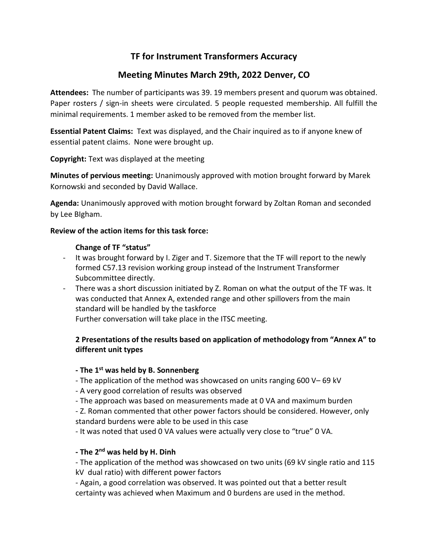# **TF for Instrument Transformers Accuracy**

# **Meeting Minutes March 29th, 2022 Denver, CO**

**Attendees:** The number of participants was 39. 19 members present and quorum was obtained. Paper rosters / sign-in sheets were circulated. 5 people requested membership. All fulfill the minimal requirements. 1 member asked to be removed from the member list.

**Essential Patent Claims:** Text was displayed, and the Chair inquired as to if anyone knew of essential patent claims. None were brought up.

**Copyright:** Text was displayed at the meeting

**Minutes of pervious meeting:** Unanimously approved with motion brought forward by Marek Kornowski and seconded by David Wallace.

**Agenda:** Unanimously approved with motion brought forward by Zoltan Roman and seconded by Lee BIgham.

## **Review of the action items for this task force:**

#### **Change of TF "status"**

- It was brought forward by I. Ziger and T. Sizemore that the TF will report to the newly formed C57.13 revision working group instead of the Instrument Transformer Subcommittee directly.
- There was a short discussion initiated by Z. Roman on what the output of the TF was. It was conducted that Annex A, extended range and other spillovers from the main standard will be handled by the taskforce Further conversation will take place in the ITSC meeting.

# **2 Presentations of the results based on application of methodology from "Annex A" to different unit types**

## **- The 1st was held by B. Sonnenberg**

- The application of the method was showcased on units ranging 600 V– 69 kV
- A very good correlation of results was observed
- The approach was based on measurements made at 0 VA and maximum burden

- Z. Roman commented that other power factors should be considered. However, only standard burdens were able to be used in this case

- It was noted that used 0 VA values were actually very close to "true" 0 VA.

## **- The 2nd was held by H. Dinh**

- The application of the method was showcased on two units (69 kV single ratio and 115 kV dual ratio) with different power factors

- Again, a good correlation was observed. It was pointed out that a better result certainty was achieved when Maximum and 0 burdens are used in the method.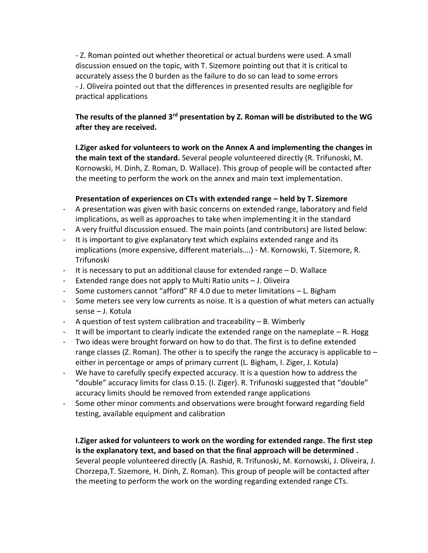- Z. Roman pointed out whether theoretical or actual burdens were used. A small discussion ensued on the topic, with T. Sizemore pointing out that it is critical to accurately assess the 0 burden as the failure to do so can lead to some errors - J. Oliveira pointed out that the differences in presented results are negligible for practical applications

# **The results of the planned 3rd presentation by Z. Roman will be distributed to the WG after they are received.**

**I.Ziger asked for volunteers to work on the Annex A and implementing the changes in the main text of the standard.** Several people volunteered directly (R. Trifunoski, M. Kornowski, H. Dinh, Z. Roman, D. Wallace). This group of people will be contacted after the meeting to perform the work on the annex and main text implementation.

#### **Presentation of experiences on CTs with extended range – held by T. Sizemore**

- A presentation was given with basic concerns on extended range, laboratory and field implications, as well as approaches to take when implementing it in the standard
- A very fruitful discussion ensued. The main points (and contributors) are listed below:
- It is important to give explanatory text which explains extended range and its implications (more expensive, different materials….) - M. Kornowski, T. Sizemore, R. Trifunoski
- It is necessary to put an additional clause for extended range D. Wallace
- Extended range does not apply to Multi Ratio units J. Oliveira
- Some customers cannot "afford" RF 4.0 due to meter limitations L. Bigham
- Some meters see very low currents as noise. It is a question of what meters can actually sense – J. Kotula
- A question of test system calibration and traceability B. Wimberly
- It will be important to clearly indicate the extended range on the nameplate R. Hogg
- Two ideas were brought forward on how to do that. The first is to define extended range classes (Z. Roman). The other is to specify the range the accuracy is applicable to  $$ either in percentage or amps of primary current (L. Bigham, I. Ziger, J. Kotula)
- We have to carefully specify expected accuracy. It is a question how to address the "double" accuracy limits for class 0.15. (I. Ziger). R. Trifunoski suggested that "double" accuracy limits should be removed from extended range applications
- Some other minor comments and observations were brought forward regarding field testing, available equipment and calibration

**I.Ziger asked for volunteers to work on the wording for extended range. The first step is the explanatory text, and based on that the final approach will be determined .**  Several people volunteered directly (A. Rashid, R. Trifunoski, M. Kornowski, J. Oliveira, J. Chorzepa,T. Sizemore, H. Dinh, Z. Roman). This group of people will be contacted after the meeting to perform the work on the wording regarding extended range CTs.